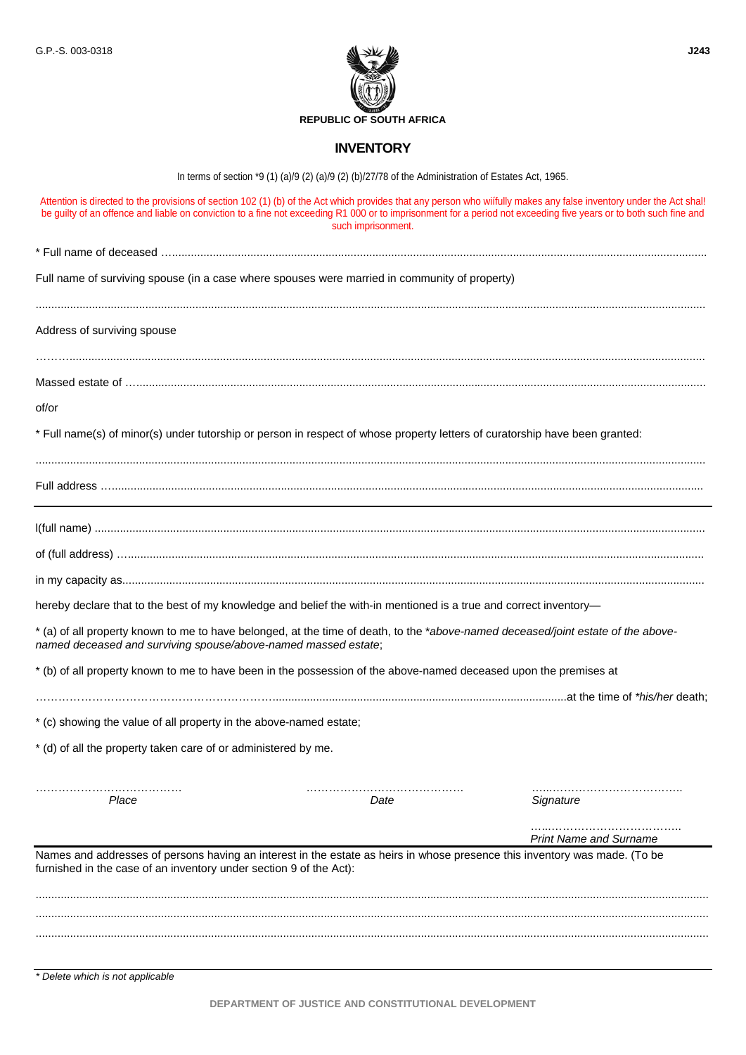

## **INVENTORY**

In terms of section \*9 (1) (a)/9 (2) (a)/9 (2) (b)/27/78 of the Administration of Estates Act, 1965.

|                                                                    | Attention is directed to the provisions of section 102 (1) (b) of the Act which provides that any person who wiifully makes any false inventory under the Act shal!<br>be guilty of an offence and liable on conviction to a fine not exceeding R1 000 or to imprisonment for a period not exceeding five years or to both such fine and<br>such imprisonment. |                               |
|--------------------------------------------------------------------|----------------------------------------------------------------------------------------------------------------------------------------------------------------------------------------------------------------------------------------------------------------------------------------------------------------------------------------------------------------|-------------------------------|
|                                                                    |                                                                                                                                                                                                                                                                                                                                                                |                               |
|                                                                    | Full name of surviving spouse (in a case where spouses were married in community of property)                                                                                                                                                                                                                                                                  |                               |
| Address of surviving spouse                                        |                                                                                                                                                                                                                                                                                                                                                                |                               |
|                                                                    |                                                                                                                                                                                                                                                                                                                                                                |                               |
| of/or                                                              |                                                                                                                                                                                                                                                                                                                                                                |                               |
|                                                                    | * Full name(s) of minor(s) under tutorship or person in respect of whose property letters of curatorship have been granted:                                                                                                                                                                                                                                    |                               |
|                                                                    |                                                                                                                                                                                                                                                                                                                                                                |                               |
|                                                                    |                                                                                                                                                                                                                                                                                                                                                                |                               |
|                                                                    |                                                                                                                                                                                                                                                                                                                                                                |                               |
|                                                                    |                                                                                                                                                                                                                                                                                                                                                                |                               |
|                                                                    | hereby declare that to the best of my knowledge and belief the with-in mentioned is a true and correct inventory-                                                                                                                                                                                                                                              |                               |
| named deceased and surviving spouse/above-named massed estate;     | * (a) of all property known to me to have belonged, at the time of death, to the *above-named deceased/joint estate of the above-                                                                                                                                                                                                                              |                               |
|                                                                    | * (b) of all property known to me to have been in the possession of the above-named deceased upon the premises at                                                                                                                                                                                                                                              |                               |
|                                                                    |                                                                                                                                                                                                                                                                                                                                                                |                               |
| * (c) showing the value of all property in the above-named estate; |                                                                                                                                                                                                                                                                                                                                                                |                               |
| * (d) of all the property taken care of or administered by me.     |                                                                                                                                                                                                                                                                                                                                                                |                               |
| Place                                                              | Date                                                                                                                                                                                                                                                                                                                                                           | Signature                     |
|                                                                    |                                                                                                                                                                                                                                                                                                                                                                | <b>Print Name and Surname</b> |
| furnished in the case of an inventory under section 9 of the Act): | Names and addresses of persons having an interest in the estate as heirs in whose presence this inventory was made. (To be                                                                                                                                                                                                                                     |                               |
|                                                                    |                                                                                                                                                                                                                                                                                                                                                                |                               |
|                                                                    |                                                                                                                                                                                                                                                                                                                                                                |                               |
|                                                                    |                                                                                                                                                                                                                                                                                                                                                                |                               |

*\* Delete which is not applicable* 

**DEPARTMENT OF JUSTICE AND CONSTITUTIONAL DEVELOPMENT**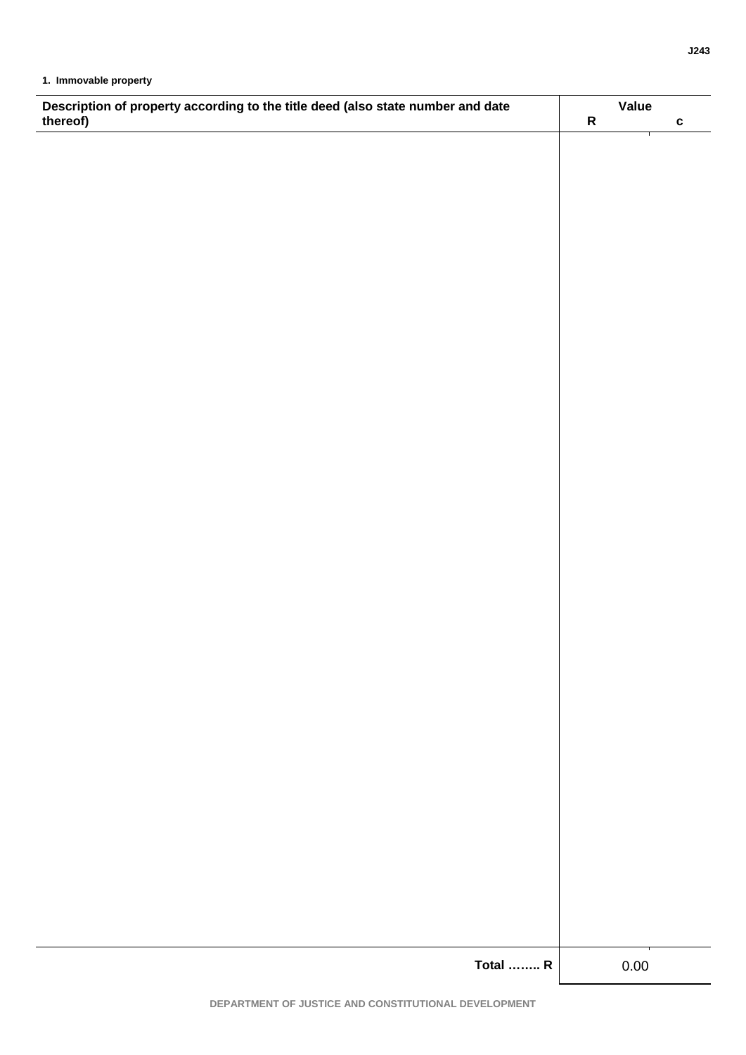| Description of property according to the title deed (also state number and date thereof) |           | Value        |  |
|------------------------------------------------------------------------------------------|-----------|--------------|--|
|                                                                                          | ${\sf R}$ | $\mathbf{c}$ |  |
|                                                                                          |           |              |  |
|                                                                                          |           |              |  |
|                                                                                          |           |              |  |
|                                                                                          |           |              |  |
|                                                                                          |           |              |  |
|                                                                                          |           |              |  |
|                                                                                          |           |              |  |
|                                                                                          |           |              |  |
|                                                                                          |           |              |  |
|                                                                                          |           |              |  |
|                                                                                          |           |              |  |
|                                                                                          |           |              |  |
|                                                                                          |           |              |  |
|                                                                                          |           |              |  |
|                                                                                          |           |              |  |
|                                                                                          |           |              |  |
|                                                                                          |           |              |  |
|                                                                                          |           |              |  |
|                                                                                          |           |              |  |
|                                                                                          |           |              |  |
|                                                                                          |           |              |  |
|                                                                                          |           |              |  |
|                                                                                          |           |              |  |
|                                                                                          |           |              |  |
|                                                                                          |           |              |  |
|                                                                                          |           |              |  |
|                                                                                          |           |              |  |
|                                                                                          |           |              |  |
|                                                                                          |           |              |  |
|                                                                                          |           |              |  |
|                                                                                          |           |              |  |
|                                                                                          |           |              |  |
|                                                                                          |           |              |  |
|                                                                                          |           |              |  |
|                                                                                          |           |              |  |
|                                                                                          |           |              |  |
|                                                                                          |           |              |  |
|                                                                                          |           |              |  |
|                                                                                          |           |              |  |
|                                                                                          |           |              |  |
|                                                                                          |           |              |  |
|                                                                                          |           |              |  |
|                                                                                          |           |              |  |
|                                                                                          |           |              |  |
| <b>Total  R</b>                                                                          | 0.00      |              |  |
|                                                                                          |           |              |  |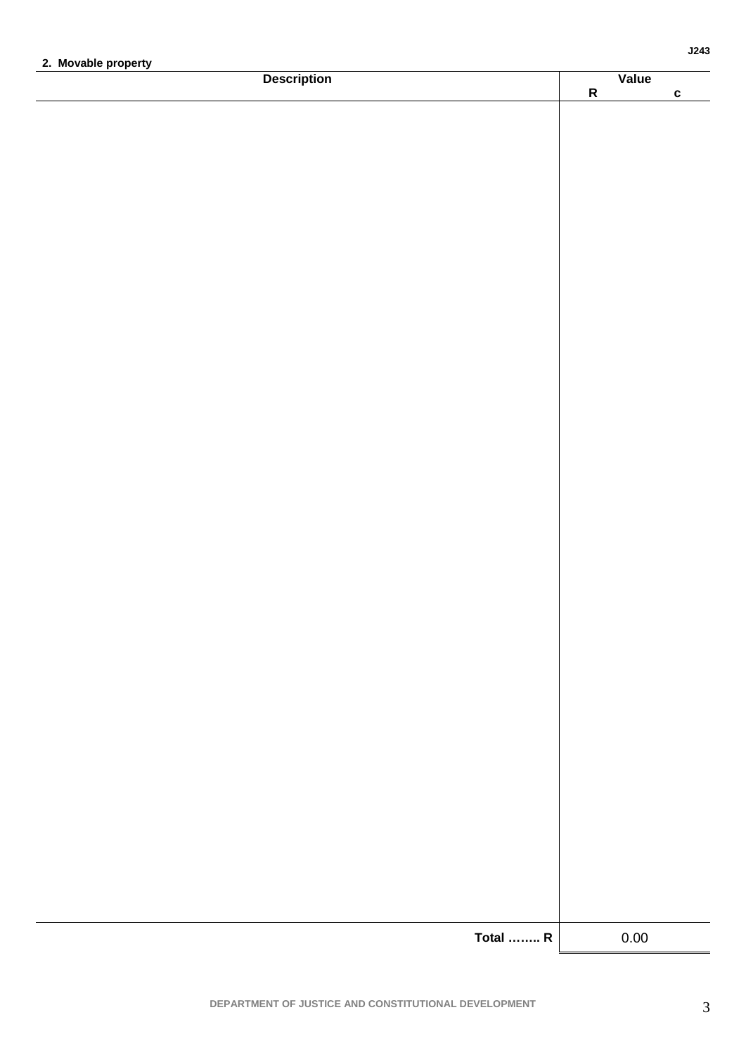| 2. Movable property<br><b>Description</b> | $\overline{\mathsf{R}}$ | Value    |              |
|-------------------------------------------|-------------------------|----------|--------------|
|                                           |                         |          | $\mathbf{c}$ |
|                                           |                         |          |              |
|                                           |                         |          |              |
|                                           |                         |          |              |
|                                           |                         |          |              |
|                                           |                         |          |              |
|                                           |                         |          |              |
|                                           |                         |          |              |
|                                           |                         |          |              |
|                                           |                         |          |              |
|                                           |                         |          |              |
|                                           |                         |          |              |
|                                           |                         |          |              |
|                                           |                         |          |              |
|                                           |                         |          |              |
|                                           |                         |          |              |
|                                           |                         |          |              |
|                                           |                         |          |              |
|                                           |                         |          |              |
|                                           |                         |          |              |
|                                           |                         |          |              |
|                                           |                         |          |              |
|                                           |                         |          |              |
|                                           |                         |          |              |
|                                           |                         |          |              |
|                                           |                         |          |              |
|                                           |                         |          |              |
|                                           |                         |          |              |
|                                           |                         |          |              |
|                                           |                         |          |              |
|                                           |                         |          |              |
|                                           |                         |          |              |
|                                           |                         |          |              |
| <b>Total  R</b>                           |                         | $0.00\,$ |              |

 $\overline{3}$